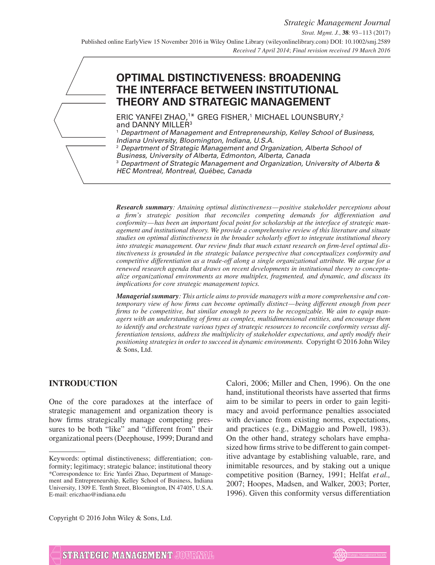# **OPTIMAL DISTINCTIVENESS: BROADENING THE INTERFACE BETWEEN INSTITUTIONAL THEORY AND STRATEGIC MANAGEMENT**

 $\mathsf{ERIC}$  YANFEI ZHAO, $^{1*}$  GREG FISHER, $^{1}$  MICHAEL LOUNSBURY, $^{2}$ and DANNY MILLER<sup>3</sup>

<sup>1</sup> Department of Management and Entrepreneurship, Kelley School of Business, Indiana University, Bloomington, Indiana, U.S.A.

<sup>2</sup> Department of Strategic Management and Organization, Alberta School of Business, University of Alberta, Edmonton, Alberta, Canada<br><sup>3</sup> Department of Strategic Management and Organization, U <sup>3</sup> Department of Strategic Management and Organization, University of Alberta & HEC Montreal, Montreal, Québec, Canada

*Research summary: Attaining optimal distinctiveness—positive stakeholder perceptions about a firm's strategic position that reconciles competing demands for differentiation and conformity—has been an important focal point for scholarship at the interface of strategic management and institutional theory. We provide a comprehensive review of this literature and situate studies on optimal distinctiveness in the broader scholarly effort to integrate institutional theory into strategic management. Our review finds that much extant research on firm-level optimal distinctiveness is grounded in the strategic balance perspective that conceptualizes conformity and competitive differentiation as a trade-off along a single organizational attribute. We argue for a renewed research agenda that draws on recent developments in institutional theory to conceptualize organizational environments as more multiplex, fragmented, and dynamic, and discuss its implications for core strategic management topics.*

*Managerial summary: This article aims to provide managers with a more comprehensive and contemporary view of how firms can become optimally distinct—being different enough from peer firms to be competitive, but similar enough to peers to be recognizable. We aim to equip managers with an understanding of firms as complex, multidimensional entities, and encourage them to identify and orchestrate various types of strategic resources to reconcile conformity versus differentiation tensions, address the multiplicity of stakeholder expectations, and aptly modify their positioning strategies in order to succeed in dynamic environments.* Copyright © 2016 John Wiley & Sons, Ltd.

## **INTRODUCTION**

One of the core paradoxes at the interface of strategic management and organization theory is how firms strategically manage competing pressures to be both "like" and "different from" their organizational peers (Deephouse, 1999; Durand and Calori, 2006; Miller and Chen, 1996). On the one hand, institutional theorists have asserted that firms aim to be similar to peers in order to gain legitimacy and avoid performance penalties associated with deviance from existing norms, expectations, and practices (e.g., DiMaggio and Powell, 1983). On the other hand, strategy scholars have emphasized how firms strive to be different to gain competitive advantage by establishing valuable, rare, and inimitable resources, and by staking out a unique competitive position (Barney, 1991; Helfat *et al.,* 2007; Hoopes, Madsen, and Walker, 2003; Porter, 1996). Given this conformity versus differentiation

Copyright © 2016 John Wiley & Sons, Ltd.



Keywords: optimal distinctiveness; differentiation; conformity; legitimacy; strategic balance; institutional theory \*Correspondence to: Eric Yanfei Zhao, Department of Management and Entrepreneurship, Kelley School of Business, Indiana University, 1309 E. Tenth Street, Bloomington, IN 47405, U.S.A. E-mail: ericzhao@indiana.edu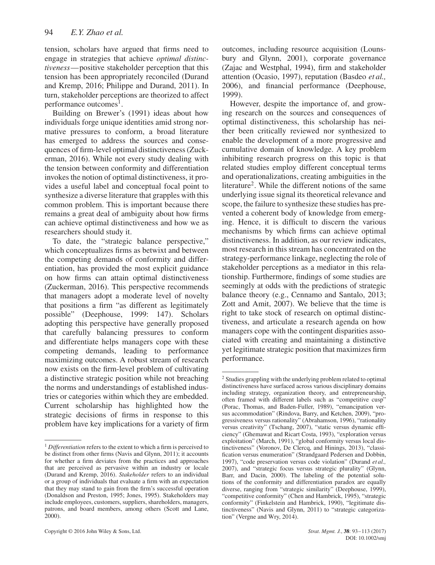tension, scholars have argued that firms need to engage in strategies that achieve *optimal distinctiveness*—positive stakeholder perception that this tension has been appropriately reconciled (Durand and Kremp, 2016; Philippe and Durand, 2011). In turn, stakeholder perceptions are theorized to affect performance outcomes<sup>1</sup>.

Building on Brewer's (1991) ideas about how individuals forge unique identities amid strong normative pressures to conform, a broad literature has emerged to address the sources and consequences of firm-level optimal distinctiveness (Zuckerman, 2016). While not every study dealing with the tension between conformity and differentiation invokes the notion of optimal distinctiveness, it provides a useful label and conceptual focal point to synthesize a diverse literature that grapples with this common problem. This is important because there remains a great deal of ambiguity about how firms can achieve optimal distinctiveness and how we as researchers should study it.

To date, the "strategic balance perspective," which conceptualizes firms as betwixt and between the competing demands of conformity and differentiation, has provided the most explicit guidance on how firms can attain optimal distinctiveness (Zuckerman, 2016). This perspective recommends that managers adopt a moderate level of novelty that positions a firm "as different as legitimately possible" (Deephouse, 1999: 147). Scholars adopting this perspective have generally proposed that carefully balancing pressures to conform and differentiate helps managers cope with these competing demands, leading to performance maximizing outcomes. A robust stream of research now exists on the firm-level problem of cultivating a distinctive strategic position while not breaching the norms and understandings of established industries or categories within which they are embedded. Current scholarship has highlighted how the strategic decisions of firms in response to this problem have key implications for a variety of firm outcomes, including resource acquisition (Lounsbury and Glynn, 2001), corporate governance (Zajac and Westphal, 1994), firm and stakeholder attention (Ocasio, 1997), reputation (Basdeo *et al.,* 2006), and financial performance (Deephouse, 1999).

However, despite the importance of, and growing research on the sources and consequences of optimal distinctiveness, this scholarship has neither been critically reviewed nor synthesized to enable the development of a more progressive and cumulative domain of knowledge. A key problem inhibiting research progress on this topic is that related studies employ different conceptual terms and operationalizations, creating ambiguities in the literature<sup>2</sup>. While the different notions of the same underlying issue signal its theoretical relevance and scope, the failure to synthesize these studies has prevented a coherent body of knowledge from emerging. Hence, it is difficult to discern the various mechanisms by which firms can achieve optimal distinctiveness. In addition, as our review indicates, most research in this stream has concentrated on the strategy-performance linkage, neglecting the role of stakeholder perceptions as a mediator in this relationship. Furthermore, findings of some studies are seemingly at odds with the predictions of strategic balance theory (e.g., Cennamo and Santalo, 2013; Zott and Amit, 2007). We believe that the time is right to take stock of research on optimal distinctiveness, and articulate a research agenda on how managers cope with the contingent disparities associated with creating and maintaining a distinctive yet legitimate strategic position that maximizes firm performance.

<sup>&</sup>lt;sup>1</sup> *Differentiation* refers to the extent to which a firm is perceived to be distinct from other firms (Navis and Glynn, 2011); it accounts for whether a firm deviates from the practices and approaches that are perceived as pervasive within an industry or locale (Durand and Kremp, 2016). *Stakeholder* refers to an individual or a group of individuals that evaluate a firm with an expectation that they may stand to gain from the firm's successful operation (Donaldson and Preston, 1995; Jones, 1995). Stakeholders may include employees, customers, suppliers, shareholders, managers, patrons, and board members, among others (Scott and Lane,  $2000$ ).

<sup>2</sup> Studies grappling with the underlying problem related to optimal distinctiveness have surfaced across various disciplinary domains including strategy, organization theory, and entrepreneurship, often framed with different labels such as "competitive cusp" (Porac, Thomas, and Baden-Fuller, 1989), "emancipation versus accommodation" (Rindova, Barry, and Ketchen, 2009), "progressiveness versus rationality" (Abrahamson, 1996), "rationality versus creativity" (Tschang, 2007), "static versus dynamic efficiency" (Ghemawat and Ricart Costa, 1993), "exploration versus exploitation" (March, 1991), "global conformity versus local distinctiveness" (Voronov, De Clercq, and Hinings, 2013), "classification versus enumeration" (Strandgaard Pedersen and Dobbin, 1997), "code preservation versus code violation" (Durand *et al.,* 2007), and "strategic focus versus strategic plurality" (Glynn, Barr, and Dacin, 2000). The labeling of the potential solutions of the conformity and differentiation paradox are equally diverse, ranging from "strategic similarity" (Deephouse, 1999), "competitive conformity" (Chen and Hambrick, 1995), "strategic conformity" (Finkelstein and Hambrick, 1990), "legitimate distinctiveness" (Navis and Glynn, 2011) to "strategic categorization" (Vergne and Wry, 2014).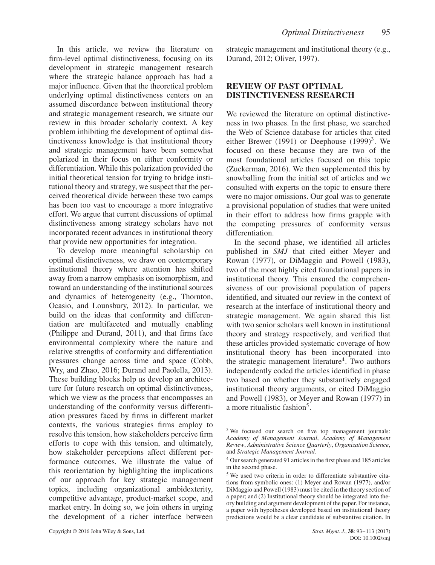In this article, we review the literature on firm-level optimal distinctiveness, focusing on its development in strategic management research where the strategic balance approach has had a major influence. Given that the theoretical problem underlying optimal distinctiveness centers on an assumed discordance between institutional theory and strategic management research, we situate our review in this broader scholarly context. A key problem inhibiting the development of optimal distinctiveness knowledge is that institutional theory and strategic management have been somewhat polarized in their focus on either conformity or differentiation. While this polarization provided the initial theoretical tension for trying to bridge institutional theory and strategy, we suspect that the perceived theoretical divide between these two camps has been too vast to encourage a more integrative effort. We argue that current discussions of optimal distinctiveness among strategy scholars have not incorporated recent advances in institutional theory that provide new opportunities for integration.

To develop more meaningful scholarship on optimal distinctiveness, we draw on contemporary institutional theory where attention has shifted away from a narrow emphasis on isomorphism, and toward an understanding of the institutional sources and dynamics of heterogeneity (e.g., Thornton, Ocasio, and Lounsbury, 2012). In particular, we build on the ideas that conformity and differentiation are multifaceted and mutually enabling (Philippe and Durand, 2011), and that firms face environmental complexity where the nature and relative strengths of conformity and differentiation pressures change across time and space (Cobb, Wry, and Zhao, 2016; Durand and Paolella, 2013). These building blocks help us develop an architecture for future research on optimal distinctiveness, which we view as the process that encompasses an understanding of the conformity versus differentiation pressures faced by firms in different market contexts, the various strategies firms employ to resolve this tension, how stakeholders perceive firm efforts to cope with this tension, and ultimately, how stakeholder perceptions affect different performance outcomes. We illustrate the value of this reorientation by highlighting the implications of our approach for key strategic management topics, including organizational ambidexterity, competitive advantage, product-market scope, and market entry. In doing so, we join others in urging the development of a richer interface between strategic management and institutional theory (e.g., Durand, 2012; Oliver, 1997).

# **REVIEW OF PAST OPTIMAL DISTINCTIVENESS RESEARCH**

We reviewed the literature on optimal distinctiveness in two phases. In the first phase, we searched the Web of Science database for articles that cited either Brewer (1991) or Deephouse  $(1999)^3$ . We focused on these because they are two of the most foundational articles focused on this topic (Zuckerman, 2016). We then supplemented this by snowballing from the initial set of articles and we consulted with experts on the topic to ensure there were no major omissions. Our goal was to generate a provisional population of studies that were united in their effort to address how firms grapple with the competing pressures of conformity versus differentiation.

In the second phase, we identified all articles published in *SMJ* that cited either Meyer and Rowan (1977), or DiMaggio and Powell (1983), two of the most highly cited foundational papers in institutional theory. This ensured the comprehensiveness of our provisional population of papers identified, and situated our review in the context of research at the interface of institutional theory and strategic management. We again shared this list with two senior scholars well known in institutional theory and strategy respectively, and verified that these articles provided systematic coverage of how institutional theory has been incorporated into the strategic management literature<sup>4</sup>. Two authors independently coded the articles identified in phase two based on whether they substantively engaged institutional theory arguments, or cited DiMaggio and Powell (1983), or Meyer and Rowan (1977) in a more ritualistic fashion<sup>5</sup>.

<sup>&</sup>lt;sup>3</sup> We focused our search on five top management journals: *Academy of Management Journal*, *Academy of Management Review*, *Administrative Science Quarterly*, *Organization Science*, and *Strategic Management Journal.*

<sup>4</sup> Our search generated 91 articles in the first phase and 185 articles in the second phase.

<sup>5</sup> We used two criteria in order to differentiate substantive citations from symbolic ones: (1) Meyer and Rowan (1977), and/or DiMaggio and Powell (1983) must be cited in the theory section of a paper; and (2) Institutional theory should be integrated into theory building and argument development of the paper. For instance, a paper with hypotheses developed based on institutional theory predictions would be a clear candidate of substantive citation. In

DOI: 10.1002/smj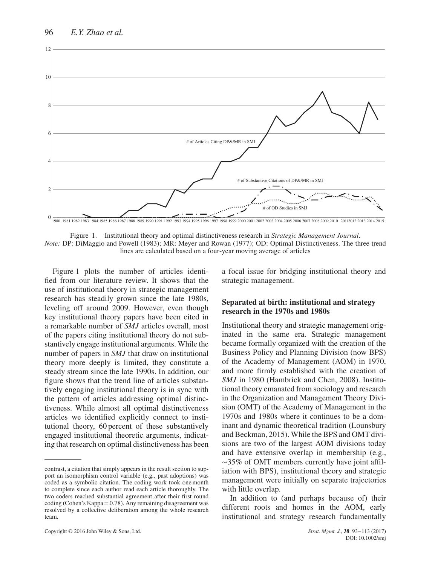

Figure 1. Institutional theory and optimal distinctiveness research in *Strategic Management Journal*. *Note:* DP: DiMaggio and Powell (1983); MR: Meyer and Rowan (1977); OD: Optimal Distinctiveness. The three trend lines are calculated based on a four-year moving average of articles

Figure 1 plots the number of articles identified from our literature review. It shows that the use of institutional theory in strategic management research has steadily grown since the late 1980s, leveling off around 2009. However, even though key institutional theory papers have been cited in a remarkable number of *SMJ* articles overall, most of the papers citing institutional theory do not substantively engage institutional arguments. While the number of papers in *SMJ* that draw on institutional theory more deeply is limited, they constitute a steady stream since the late 1990s. In addition, our figure shows that the trend line of articles substantively engaging institutional theory is in sync with the pattern of articles addressing optimal distinctiveness. While almost all optimal distinctiveness articles we identified explicitly connect to institutional theory, 60 percent of these substantively engaged institutional theoretic arguments, indicating that research on optimal distinctiveness has been a focal issue for bridging institutional theory and strategic management.

#### **Separated at birth: institutional and strategy research in the 1970s and 1980s**

Institutional theory and strategic management originated in the same era. Strategic management became formally organized with the creation of the Business Policy and Planning Division (now BPS) of the Academy of Management (AOM) in 1970, and more firmly established with the creation of *SMJ* in 1980 (Hambrick and Chen, 2008). Institutional theory emanated from sociology and research in the Organization and Management Theory Division (OMT) of the Academy of Management in the 1970s and 1980s where it continues to be a dominant and dynamic theoretical tradition (Lounsbury and Beckman, 2015). While the BPS and OMT divisions are two of the largest AOM divisions today and have extensive overlap in membership (e.g., ∼35% of OMT members currently have joint affiliation with BPS), institutional theory and strategic management were initially on separate trajectories with little overlap.

In addition to (and perhaps because of) their different roots and homes in the AOM, early institutional and strategy research fundamentally

contrast, a citation that simply appears in the result section to support an isomorphism control variable (e.g*.*, past adoptions) was coded as a symbolic citation. The coding work took one month to complete since each author read each article thoroughly. The two coders reached substantial agreement after their first round coding (Cohen's Kappa =  $0.78$ ). Any remaining disagreement was resolved by a collective deliberation among the whole research team.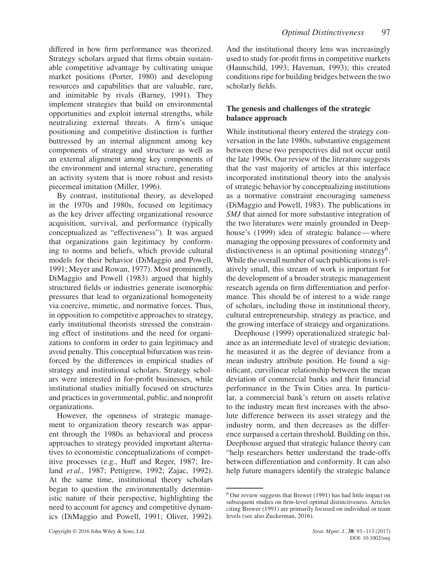differed in how firm performance was theorized. Strategy scholars argued that firms obtain sustainable competitive advantage by cultivating unique market positions (Porter, 1980) and developing resources and capabilities that are valuable, rare, and inimitable by rivals (Barney, 1991). They implement strategies that build on environmental opportunities and exploit internal strengths, while neutralizing external threats. A firm's unique positioning and competitive distinction is further buttressed by an internal alignment among key components of strategy and structure as well as an external alignment among key components of the environment and internal structure, generating an activity system that is more robust and resists piecemeal imitation (Miller, 1996).

By contrast, institutional theory, as developed in the 1970s and 1980s, focused on legitimacy as the key driver affecting organizational resource acquisition, survival, and performance (typically conceptualized as "effectiveness"). It was argued that organizations gain legitimacy by conforming to norms and beliefs, which provide cultural models for their behavior (DiMaggio and Powell, 1991; Meyer and Rowan, 1977). Most prominently, DiMaggio and Powell (1983) argued that highly structured fields or industries generate isomorphic pressures that lead to organizational homogeneity via coercive, mimetic, and normative forces. Thus, in opposition to competitive approaches to strategy, early institutional theorists stressed the constraining effect of institutions and the need for organizations to conform in order to gain legitimacy and avoid penalty. This conceptual bifurcation was reinforced by the differences in empirical studies of strategy and institutional scholars. Strategy scholars were interested in for-profit businesses, while institutional studies initially focused on structures and practices in governmental, public, and nonprofit organizations.

However, the openness of strategic management to organization theory research was apparent through the 1980s as behavioral and process approaches to strategy provided important alternatives to economistic conceptualizations of competitive processes (e.g., Huff and Reger, 1987; Ireland *et al.,* 1987; Pettigrew, 1992; Zajac, 1992). At the same time, institutional theory scholars began to question the environmentally deterministic nature of their perspective, highlighting the need to account for agency and competitive dynamics (DiMaggio and Powell, 1991; Oliver, 1992).

And the institutional theory lens was increasingly used to study for-profit firms in competitive markets (Haunschild, 1993; Haveman, 1993); this created conditions ripe for building bridges between the two scholarly fields.

## **The genesis and challenges of the strategic balance approach**

While institutional theory entered the strategy conversation in the late 1980s, substantive engagement between these two perspectives did not occur until the late 1990s. Our review of the literature suggests that the vast majority of articles at this interface incorporated institutional theory into the analysis of strategic behavior by conceptualizing institutions as a normative constraint encouraging sameness (DiMaggio and Powell, 1983). The publications in *SMJ* that aimed for more substantive integration of the two literatures were mainly grounded in Deephouse's (1999) idea of strategic balance—where managing the opposing pressures of conformity and distinctiveness is an optimal positioning strategy<sup>6</sup>. While the overall number of such publications is relatively small, this stream of work is important for the development of a broader strategic management research agenda on firm differentiation and performance. This should be of interest to a wide range of scholars, including those in institutional theory, cultural entrepreneurship, strategy as practice, and the growing interface of strategy and organizations.

Deephouse (1999) operationalized strategic balance as an intermediate level of strategic deviation; he measured it as the degree of deviance from a mean industry attribute position. He found a significant, curvilinear relationship between the mean deviation of commercial banks and their financial performance in the Twin Cities area. In particular, a commercial bank's return on assets relative to the industry mean first increases with the absolute difference between its asset strategy and the industry norm, and then decreases as the difference surpassed a certain threshold. Building on this, Deephouse argued that strategic balance theory can "help researchers better understand the trade-offs between differentiation and conformity. It can also help future managers identify the strategic balance

<sup>6</sup> Our review suggests that Brewer (1991) has had little impact on subsequent studies on firm-level optimal distinctiveness. Articles citing Brewer (1991) are primarily focused on individual or team levels (see also Zuckerman, 2016).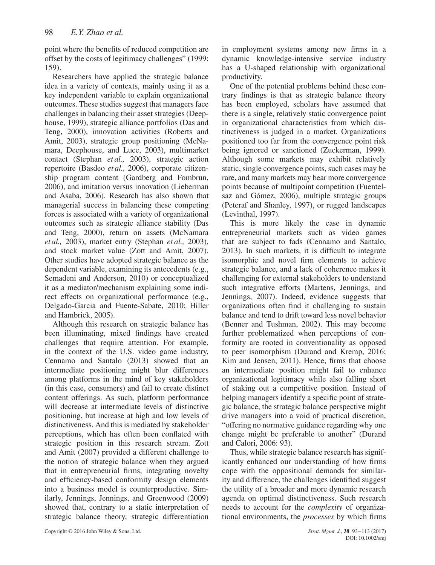point where the benefits of reduced competition are offset by the costs of legitimacy challenges" (1999: 159).

Researchers have applied the strategic balance idea in a variety of contexts, mainly using it as a key independent variable to explain organizational outcomes. These studies suggest that managers face challenges in balancing their asset strategies (Deephouse, 1999), strategic alliance portfolios (Das and Teng, 2000), innovation activities (Roberts and Amit, 2003), strategic group positioning (McNamara, Deephouse, and Luce, 2003), multimarket contact (Stephan *et al.,* 2003), strategic action repertoire (Basdeo *et al.,* 2006), corporate citizenship program content (Gardberg and Fombrun, 2006), and imitation versus innovation (Lieberman and Asaba, 2006). Research has also shown that managerial success in balancing these competing forces is associated with a variety of organizational outcomes such as strategic alliance stability (Das and Teng, 2000), return on assets (McNamara *et al.,* 2003), market entry (Stephan *et al.,* 2003), and stock market value (Zott and Amit, 2007). Other studies have adopted strategic balance as the dependent variable, examining its antecedents (e.g., Semadeni and Anderson, 2010) or conceptualized it as a mediator/mechanism explaining some indirect effects on organizational performance (e.g., Delgado-Garcia and Fuente-Sabate, 2010; Hiller and Hambrick, 2005).

Although this research on strategic balance has been illuminating, mixed findings have created challenges that require attention. For example, in the context of the U.S. video game industry, Cennamo and Santalo (2013) showed that an intermediate positioning might blur differences among platforms in the mind of key stakeholders (in this case, consumers) and fail to create distinct content offerings. As such, platform performance will decrease at intermediate levels of distinctive positioning, but increase at high and low levels of distinctiveness. And this is mediated by stakeholder perceptions, which has often been conflated with strategic position in this research stream. Zott and Amit (2007) provided a different challenge to the notion of strategic balance when they argued that in entrepreneurial firms, integrating novelty and efficiency-based conformity design elements into a business model is counterproductive. Similarly, Jennings, Jennings, and Greenwood (2009) showed that, contrary to a static interpretation of strategic balance theory, strategic differentiation

in employment systems among new firms in a dynamic knowledge-intensive service industry has a U-shaped relationship with organizational productivity.

One of the potential problems behind these contrary findings is that as strategic balance theory has been employed, scholars have assumed that there is a single, relatively static convergence point in organizational characteristics from which distinctiveness is judged in a market. Organizations positioned too far from the convergence point risk being ignored or sanctioned (Zuckerman, 1999). Although some markets may exhibit relatively static, single convergence points, such cases may be rare, and many markets may bear more convergence points because of multipoint competition (Fuentelsaz and Gómez, 2006), multiple strategic groups (Peteraf and Shanley, 1997), or rugged landscapes (Levinthal, 1997).

This is more likely the case in dynamic entrepreneurial markets such as video games that are subject to fads (Cennamo and Santalo, 2013). In such markets, it is difficult to integrate isomorphic and novel firm elements to achieve strategic balance, and a lack of coherence makes it challenging for external stakeholders to understand such integrative efforts (Martens, Jennings, and Jennings, 2007). Indeed, evidence suggests that organizations often find it challenging to sustain balance and tend to drift toward less novel behavior (Benner and Tushman, 2002). This may become further problematized when perceptions of conformity are rooted in conventionality as opposed to peer isomorphism (Durand and Kremp, 2016; Kim and Jensen, 2011). Hence, firms that choose an intermediate position might fail to enhance organizational legitimacy while also falling short of staking out a competitive position. Instead of helping managers identify a specific point of strategic balance, the strategic balance perspective might drive managers into a void of practical discretion, "offering no normative guidance regarding why one change might be preferable to another" (Durand and Calori, 2006: 93).

Thus, while strategic balance research has significantly enhanced our understanding of how firms cope with the oppositional demands for similarity and difference, the challenges identified suggest the utility of a broader and more dynamic research agenda on optimal distinctiveness. Such research needs to account for the *complexity* of organizational environments, the *processes* by which firms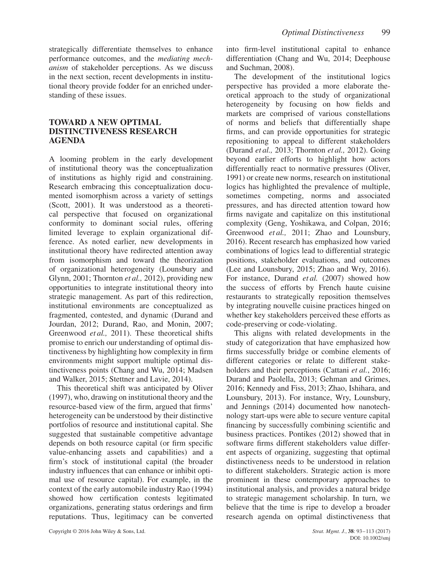strategically differentiate themselves to enhance performance outcomes, and the *mediating mechanism* of stakeholder perceptions. As we discuss in the next section, recent developments in institutional theory provide fodder for an enriched understanding of these issues.

## **TOWARD A NEW OPTIMAL DISTINCTIVENESS RESEARCH AGENDA**

A looming problem in the early development of institutional theory was the conceptualization of institutions as highly rigid and constraining. Research embracing this conceptualization documented isomorphism across a variety of settings (Scott, 2001). It was understood as a theoretical perspective that focused on organizational conformity to dominant social rules, offering limited leverage to explain organizational difference. As noted earlier, new developments in institutional theory have redirected attention away from isomorphism and toward the theorization of organizational heterogeneity (Lounsbury and Glynn, 2001; Thornton *et al.,* 2012), providing new opportunities to integrate institutional theory into strategic management. As part of this redirection, institutional environments are conceptualized as fragmented, contested, and dynamic (Durand and Jourdan, 2012; Durand, Rao, and Monin, 2007; Greenwood *et al.,* 2011). These theoretical shifts promise to enrich our understanding of optimal distinctiveness by highlighting how complexity in firm environments might support multiple optimal distinctiveness points (Chang and Wu, 2014; Madsen and Walker, 2015; Stettner and Lavie, 2014).

This theoretical shift was anticipated by Oliver (1997), who, drawing on institutional theory and the resource-based view of the firm, argued that firms' heterogeneity can be understood by their distinctive portfolios of resource and institutional capital. She suggested that sustainable competitive advantage depends on both resource capital (or firm specific value-enhancing assets and capabilities) and a firm's stock of institutional capital (the broader industry influences that can enhance or inhibit optimal use of resource capital). For example, in the context of the early automobile industry Rao (1994) showed how certification contests legitimated organizations, generating status orderings and firm reputations. Thus, legitimacy can be converted into firm-level institutional capital to enhance differentiation (Chang and Wu, 2014; Deephouse and Suchman, 2008).

The development of the institutional logics perspective has provided a more elaborate theoretical approach to the study of organizational heterogeneity by focusing on how fields and markets are comprised of various constellations of norms and beliefs that differentially shape firms, and can provide opportunities for strategic repositioning to appeal to different stakeholders (Durand *et al.,* 2013; Thornton *et al.,* 2012). Going beyond earlier efforts to highlight how actors differentially react to normative pressures (Oliver, 1991) or create new norms, research on institutional logics has highlighted the prevalence of multiple, sometimes competing, norms and associated pressures, and has directed attention toward how firms navigate and capitalize on this institutional complexity (Geng, Yoshikawa, and Colpan, 2016; Greenwood *et al.,* 2011; Zhao and Lounsbury, 2016). Recent research has emphasized how varied combinations of logics lead to differential strategic positions, stakeholder evaluations, and outcomes (Lee and Lounsbury, 2015; Zhao and Wry, 2016). For instance, Durand *et al.* (2007) showed how the success of efforts by French haute cuisine restaurants to strategically reposition themselves by integrating nouvelle cuisine practices hinged on whether key stakeholders perceived these efforts as code-preserving or code-violating.

This aligns with related developments in the study of categorization that have emphasized how firms successfully bridge or combine elements of different categories or relate to different stakeholders and their perceptions (Cattani *et al.*, 2016; Durand and Paolella, 2013; Gehman and Grimes, 2016; Kennedy and Fiss, 2013; Zhao, Ishihara, and Lounsbury, 2013). For instance, Wry, Lounsbury, and Jennings (2014) documented how nanotechnology start-ups were able to secure venture capital financing by successfully combining scientific and business practices. Pontikes (2012) showed that in software firms different stakeholders value different aspects of organizing, suggesting that optimal distinctiveness needs to be understood in relation to different stakeholders. Strategic action is more prominent in these contemporary approaches to institutional analysis, and provides a natural bridge to strategic management scholarship. In turn, we believe that the time is ripe to develop a broader research agenda on optimal distinctiveness that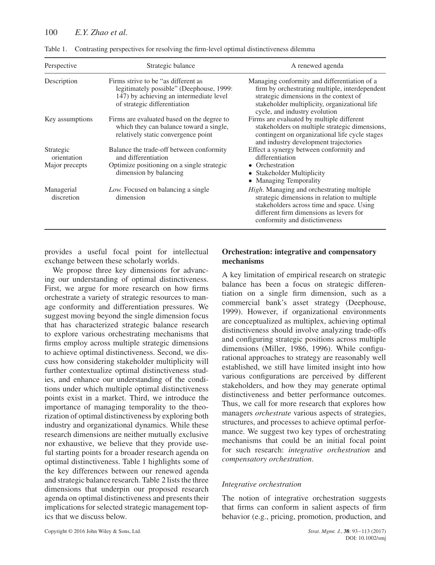| Perspective              | Strategic balance                                                                                                                                          | A renewed agenda                                                                                                                                                                                                           |  |  |  |
|--------------------------|------------------------------------------------------------------------------------------------------------------------------------------------------------|----------------------------------------------------------------------------------------------------------------------------------------------------------------------------------------------------------------------------|--|--|--|
| Description              | Firms strive to be "as different as<br>legitimately possible" (Deephouse, 1999:<br>147) by achieving an intermediate level<br>of strategic differentiation | Managing conformity and differentiation of a<br>firm by orchestrating multiple, interdependent<br>strategic dimensions in the context of<br>stakeholder multiplicity, organizational life<br>cycle, and industry evolution |  |  |  |
| Key assumptions          | Firms are evaluated based on the degree to<br>which they can balance toward a single,<br>relatively static convergence point                               | Firms are evaluated by multiple different<br>stakeholders on multiple strategic dimensions,<br>contingent on organizational life cycle stages<br>and industry development trajectories                                     |  |  |  |
| Strategic<br>orientation | Balance the trade-off between conformity<br>and differentiation                                                                                            | Effect a synergy between conformity and<br>differentiation                                                                                                                                                                 |  |  |  |
| Major precepts           | Optimize positioning on a single strategic<br>dimension by balancing                                                                                       | • Orchestration<br>• Stakeholder Multiplicity<br>• Managing Temporality                                                                                                                                                    |  |  |  |
| Managerial<br>discretion | Low. Focused on balancing a single<br>dimension                                                                                                            | High. Managing and orchestrating multiple<br>strategic dimensions in relation to multiple<br>stakeholders across time and space. Using<br>different firm dimensions as levers for<br>conformity and distictinveness        |  |  |  |

Table 1. Contrasting perspectives for resolving the firm-level optimal distinctiveness dilemma

provides a useful focal point for intellectual exchange between these scholarly worlds.

We propose three key dimensions for advancing our understanding of optimal distinctiveness. First, we argue for more research on how firms orchestrate a variety of strategic resources to manage conformity and differentiation pressures. We suggest moving beyond the single dimension focus that has characterized strategic balance research to explore various orchestrating mechanisms that firms employ across multiple strategic dimensions to achieve optimal distinctiveness. Second, we discuss how considering stakeholder multiplicity will further contextualize optimal distinctiveness studies, and enhance our understanding of the conditions under which multiple optimal distinctiveness points exist in a market. Third, we introduce the importance of managing temporality to the theorization of optimal distinctiveness by exploring both industry and organizational dynamics. While these research dimensions are neither mutually exclusive nor exhaustive, we believe that they provide useful starting points for a broader research agenda on optimal distinctiveness. Table 1 highlights some of the key differences between our renewed agenda and strategic balance research. Table 2 lists the three dimensions that underpin our proposed research agenda on optimal distinctiveness and presents their implications for selected strategic management topics that we discuss below.

## **Orchestration: integrative and compensatory mechanisms**

A key limitation of empirical research on strategic balance has been a focus on strategic differentiation on a single firm dimension, such as a commercial bank's asset strategy (Deephouse, 1999). However, if organizational environments are conceptualized as multiplex, achieving optimal distinctiveness should involve analyzing trade-offs and configuring strategic positions across multiple dimensions (Miller, 1986, 1996). While configurational approaches to strategy are reasonably well established, we still have limited insight into how various configurations are perceived by different stakeholders, and how they may generate optimal distinctiveness and better performance outcomes. Thus, we call for more research that explores how managers *orchestrate* various aspects of strategies, structures, and processes to achieve optimal performance. We suggest two key types of orchestrating mechanisms that could be an initial focal point for such research: *integrative orchestration* and *compensatory orchestration*.

## *Integrative orchestration*

The notion of integrative orchestration suggests that firms can conform in salient aspects of firm behavior (e.g., pricing, promotion, production, and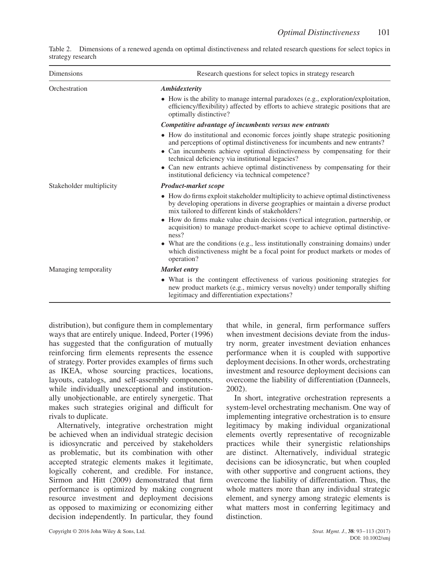|                   | Table 2. Dimensions of a renewed agenda on optimal distinctiveness and related research questions for select topics in |  |  |  |  |
|-------------------|------------------------------------------------------------------------------------------------------------------------|--|--|--|--|
| strategy research |                                                                                                                        |  |  |  |  |

| Dimensions               | Research questions for select topics in strategy research                                                                                                                                                                                                                                                                                                                                                                             |  |  |  |
|--------------------------|---------------------------------------------------------------------------------------------------------------------------------------------------------------------------------------------------------------------------------------------------------------------------------------------------------------------------------------------------------------------------------------------------------------------------------------|--|--|--|
| Orchestration            | Ambidexterity                                                                                                                                                                                                                                                                                                                                                                                                                         |  |  |  |
|                          | $\bullet$ How is the ability to manage internal paradoxes (e.g., exploration/exploitation,<br>efficiency/flexibility) affected by efforts to achieve strategic positions that are<br>optimally distinctive?                                                                                                                                                                                                                           |  |  |  |
|                          | Competitive advantage of incumbents versus new entrants                                                                                                                                                                                                                                                                                                                                                                               |  |  |  |
|                          | • How do institutional and economic forces jointly shape strategic positioning<br>and perceptions of optimal distinctiveness for incumbents and new entrants?<br>• Can incumbents achieve optimal distinctiveness by compensating for their<br>technical deficiency via institutional legacies?<br>• Can new entrants achieve optimal distinctiveness by compensating for their<br>institutional deficiency via technical competence? |  |  |  |
| Stakeholder multiplicity | <b>Product-market scope</b>                                                                                                                                                                                                                                                                                                                                                                                                           |  |  |  |
|                          | • How do firms exploit stakeholder multiplicity to achieve optimal distinctiveness<br>by developing operations in diverse geographies or maintain a diverse product<br>mix tailored to different kinds of stakeholders?                                                                                                                                                                                                               |  |  |  |
|                          | • How do firms make value chain decisions (vertical integration, partnership, or<br>acquisition) to manage product-market scope to achieve optimal distinctive-<br>ness?                                                                                                                                                                                                                                                              |  |  |  |
|                          | • What are the conditions (e.g., less institutionally constraining domains) under<br>which distinctiveness might be a focal point for product markets or modes of<br>operation?                                                                                                                                                                                                                                                       |  |  |  |
| Managing temporality     | Market entry                                                                                                                                                                                                                                                                                                                                                                                                                          |  |  |  |
|                          | • What is the contingent effectiveness of various positioning strategies for<br>new product markets (e.g., mimicry versus novelty) under temporally shifting<br>legitimacy and differentiation expectations?                                                                                                                                                                                                                          |  |  |  |

distribution), but configure them in complementary ways that are entirely unique. Indeed, Porter (1996) has suggested that the configuration of mutually reinforcing firm elements represents the essence of strategy. Porter provides examples of firms such as IKEA, whose sourcing practices, locations, layouts, catalogs, and self-assembly components, while individually unexceptional and institutionally unobjectionable, are entirely synergetic. That makes such strategies original and difficult for rivals to duplicate.

Alternatively, integrative orchestration might be achieved when an individual strategic decision is idiosyncratic and perceived by stakeholders as problematic, but its combination with other accepted strategic elements makes it legitimate, logically coherent, and credible. For instance, Sirmon and Hitt (2009) demonstrated that firm performance is optimized by making congruent resource investment and deployment decisions as opposed to maximizing or economizing either decision independently. In particular, they found that while, in general, firm performance suffers when investment decisions deviate from the industry norm, greater investment deviation enhances performance when it is coupled with supportive deployment decisions. In other words, orchestrating investment and resource deployment decisions can overcome the liability of differentiation (Danneels, 2002).

In short, integrative orchestration represents a system-level orchestrating mechanism. One way of implementing integrative orchestration is to ensure legitimacy by making individual organizational elements overtly representative of recognizable practices while their synergistic relationships are distinct. Alternatively, individual strategic decisions can be idiosyncratic, but when coupled with other supportive and congruent actions, they overcome the liability of differentiation. Thus, the whole matters more than any individual strategic element, and synergy among strategic elements is what matters most in conferring legitimacy and distinction.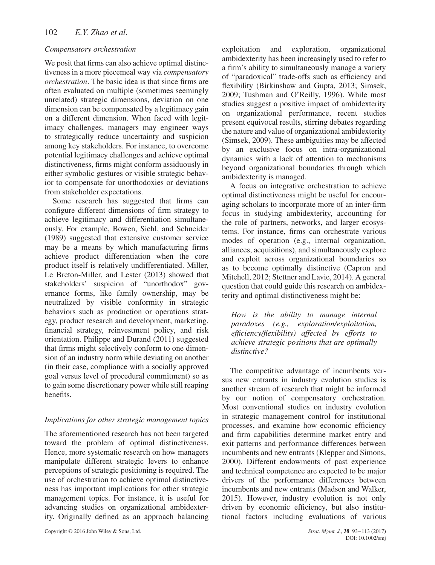## *Compensatory orchestration*

We posit that firms can also achieve optimal distinctiveness in a more piecemeal way via *compensatory orchestration*. The basic idea is that since firms are often evaluated on multiple (sometimes seemingly unrelated) strategic dimensions, deviation on one dimension can be compensated by a legitimacy gain on a different dimension. When faced with legitimacy challenges, managers may engineer ways to strategically reduce uncertainty and suspicion among key stakeholders. For instance, to overcome potential legitimacy challenges and achieve optimal distinctiveness, firms might conform assiduously in either symbolic gestures or visible strategic behavior to compensate for unorthodoxies or deviations from stakeholder expectations.

Some research has suggested that firms can configure different dimensions of firm strategy to achieve legitimacy and differentiation simultaneously. For example, Bowen, Siehl, and Schneider (1989) suggested that extensive customer service may be a means by which manufacturing firms achieve product differentiation when the core product itself is relatively undifferentiated. Miller, Le Breton-Miller, and Lester (2013) showed that stakeholders' suspicion of "unorthodox" governance forms, like family ownership, may be neutralized by visible conformity in strategic behaviors such as production or operations strategy, product research and development, marketing, financial strategy, reinvestment policy, and risk orientation. Philippe and Durand (2011) suggested that firms might selectively conform to one dimension of an industry norm while deviating on another (in their case, compliance with a socially approved goal versus level of procedural commitment) so as to gain some discretionary power while still reaping benefits.

## *Implications for other strategic management topics*

The aforementioned research has not been targeted toward the problem of optimal distinctiveness. Hence, more systematic research on how managers manipulate different strategic levers to enhance perceptions of strategic positioning is required. The use of orchestration to achieve optimal distinctiveness has important implications for other strategic management topics. For instance, it is useful for advancing studies on organizational ambidexterity. Originally defined as an approach balancing exploitation and exploration, organizational ambidexterity has been increasingly used to refer to a firm's ability to simultaneously manage a variety of "paradoxical" trade-offs such as efficiency and flexibility (Birkinshaw and Gupta, 2013; Simsek, 2009; Tushman and O'Reilly, 1996). While most studies suggest a positive impact of ambidexterity on organizational performance, recent studies present equivocal results, stirring debates regarding the nature and value of organizational ambidexterity (Simsek, 2009). These ambiguities may be affected by an exclusive focus on intra-organizational dynamics with a lack of attention to mechanisms beyond organizational boundaries through which ambidexterity is managed.

A focus on integrative orchestration to achieve optimal distinctiveness might be useful for encouraging scholars to incorporate more of an inter-firm focus in studying ambidexterity, accounting for the role of partners, networks, and larger ecosystems. For instance, firms can orchestrate various modes of operation (e.g., internal organization, alliances, acquisitions), and simultaneously explore and exploit across organizational boundaries so as to become optimally distinctive (Capron and Mitchell, 2012; Stettner and Lavie, 2014). A general question that could guide this research on ambidexterity and optimal distinctiveness might be:

*How is the ability to manage internal paradoxes (e.g., exploration/exploitation, efficiency/flexibility) affected by efforts to achieve strategic positions that are optimally distinctive?*

The competitive advantage of incumbents versus new entrants in industry evolution studies is another stream of research that might be informed by our notion of compensatory orchestration. Most conventional studies on industry evolution in strategic management control for institutional processes, and examine how economic efficiency and firm capabilities determine market entry and exit patterns and performance differences between incumbents and new entrants (Klepper and Simons, 2000). Different endowments of past experience and technical competence are expected to be major drivers of the performance differences between incumbents and new entrants (Madsen and Walker, 2015). However, industry evolution is not only driven by economic efficiency, but also institutional factors including evaluations of various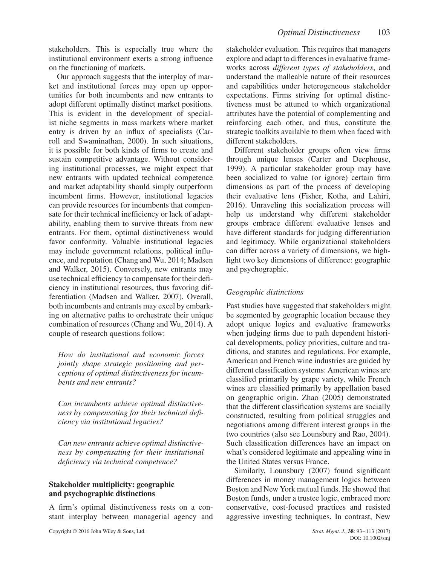stakeholders. This is especially true where the institutional environment exerts a strong influence on the functioning of markets.

Our approach suggests that the interplay of market and institutional forces may open up opportunities for both incumbents and new entrants to adopt different optimally distinct market positions. This is evident in the development of specialist niche segments in mass markets where market entry is driven by an influx of specialists (Carroll and Swaminathan, 2000). In such situations, it is possible for both kinds of firms to create and sustain competitive advantage. Without considering institutional processes, we might expect that new entrants with updated technical competence and market adaptability should simply outperform incumbent firms. However, institutional legacies can provide resources for incumbents that compensate for their technical inefficiency or lack of adaptability, enabling them to survive threats from new entrants. For them, optimal distinctiveness would favor conformity. Valuable institutional legacies may include government relations, political influence, and reputation (Chang and Wu, 2014; Madsen and Walker, 2015). Conversely, new entrants may use technical efficiency to compensate for their deficiency in institutional resources, thus favoring differentiation (Madsen and Walker, 2007). Overall, both incumbents and entrants may excel by embarking on alternative paths to orchestrate their unique combination of resources (Chang and Wu, 2014). A couple of research questions follow:

*How do institutional and economic forces jointly shape strategic positioning and perceptions of optimal distinctiveness for incumbents and new entrants?*

*Can incumbents achieve optimal distinctiveness by compensating for their technical deficiency via institutional legacies?*

*Can new entrants achieve optimal distinctiveness by compensating for their institutional deficiency via technical competence?*

## **Stakeholder multiplicity: geographic and psychographic distinctions**

A firm's optimal distinctiveness rests on a constant interplay between managerial agency and stakeholder evaluation. This requires that managers explore and adapt to differences in evaluative frameworks across *different types of stakeholders*, and understand the malleable nature of their resources and capabilities under heterogeneous stakeholder expectations. Firms striving for optimal distinctiveness must be attuned to which organizational attributes have the potential of complementing and reinforcing each other, and thus, constitute the strategic toolkits available to them when faced with different stakeholders.

Different stakeholder groups often view firms through unique lenses (Carter and Deephouse, 1999). A particular stakeholder group may have been socialized to value (or ignore) certain firm dimensions as part of the process of developing their evaluative lens (Fisher, Kotha, and Lahiri, 2016). Unraveling this socialization process will help us understand why different stakeholder groups embrace different evaluative lenses and have different standards for judging differentiation and legitimacy. While organizational stakeholders can differ across a variety of dimensions, we highlight two key dimensions of difference: geographic and psychographic.

## *Geographic distinctions*

Past studies have suggested that stakeholders might be segmented by geographic location because they adopt unique logics and evaluative frameworks when judging firms due to path dependent historical developments, policy priorities, culture and traditions, and statutes and regulations. For example, American and French wine industries are guided by different classification systems: American wines are classified primarily by grape variety, while French wines are classified primarily by appellation based on geographic origin. Zhao (2005) demonstrated that the different classification systems are socially constructed, resulting from political struggles and negotiations among different interest groups in the two countries (also see Lounsbury and Rao, 2004). Such classification differences have an impact on what's considered legitimate and appealing wine in the United States versus France.

Similarly, Lounsbury (2007) found significant differences in money management logics between Boston and New York mutual funds. He showed that Boston funds, under a trustee logic, embraced more conservative, cost-focused practices and resisted aggressive investing techniques. In contrast, New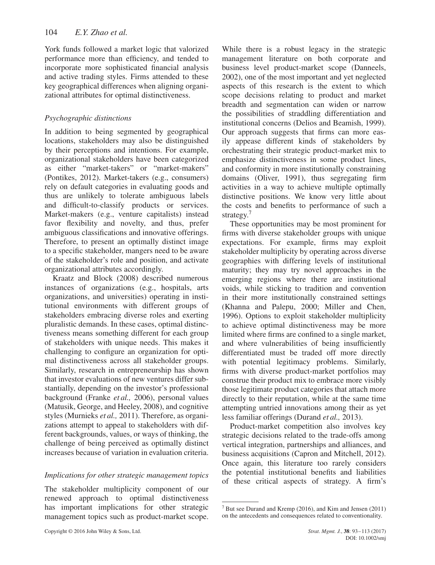York funds followed a market logic that valorized performance more than efficiency, and tended to incorporate more sophisticated financial analysis and active trading styles. Firms attended to these key geographical differences when aligning organizational attributes for optimal distinctiveness.

# *Psychographic distinctions*

In addition to being segmented by geographical locations, stakeholders may also be distinguished by their perceptions and intentions. For example, organizational stakeholders have been categorized as either "market-takers" or "market-makers" (Pontikes, 2012). Market-takers (e.g., consumers) rely on default categories in evaluating goods and thus are unlikely to tolerate ambiguous labels and difficult-to-classify products or services. Market-makers (e.g., venture capitalists) instead favor flexibility and novelty, and thus, prefer ambiguous classifications and innovative offerings. Therefore, to present an optimally distinct image to a specific stakeholder, mangers need to be aware of the stakeholder's role and position, and activate organizational attributes accordingly.

Kraatz and Block (2008) described numerous instances of organizations (e.g., hospitals, arts organizations, and universities) operating in institutional environments with different groups of stakeholders embracing diverse roles and exerting pluralistic demands. In these cases, optimal distinctiveness means something different for each group of stakeholders with unique needs. This makes it challenging to configure an organization for optimal distinctiveness across all stakeholder groups. Similarly, research in entrepreneurship has shown that investor evaluations of new ventures differ substantially, depending on the investor's professional background (Franke *et al.,* 2006), personal values (Matusik, George, and Heeley, 2008), and cognitive styles (Murnieks *et al.,* 2011). Therefore, as organizations attempt to appeal to stakeholders with different backgrounds, values, or ways of thinking, the challenge of being perceived as optimally distinct increases because of variation in evaluation criteria.

## *Implications for other strategic management topics*

The stakeholder multiplicity component of our renewed approach to optimal distinctiveness has important implications for other strategic management topics such as product-market scope.

While there is a robust legacy in the strategic management literature on both corporate and business level product-market scope (Danneels, 2002), one of the most important and yet neglected aspects of this research is the extent to which scope decisions relating to product and market breadth and segmentation can widen or narrow the possibilities of straddling differentiation and institutional concerns (Delios and Beamish, 1999). Our approach suggests that firms can more easily appease different kinds of stakeholders by orchestrating their strategic product-market mix to emphasize distinctiveness in some product lines, and conformity in more institutionally constraining domains (Oliver, 1991), thus segregating firm activities in a way to achieve multiple optimally distinctive positions. We know very little about the costs and benefits to performance of such a strategy.<sup>7</sup>

These opportunities may be most prominent for firms with diverse stakeholder groups with unique expectations. For example, firms may exploit stakeholder multiplicity by operating across diverse geographies with differing levels of institutional maturity; they may try novel approaches in the emerging regions where there are institutional voids, while sticking to tradition and convention in their more institutionally constrained settings (Khanna and Palepu, 2000; Miller and Chen, 1996). Options to exploit stakeholder multiplicity to achieve optimal distinctiveness may be more limited where firms are confined to a single market, and where vulnerabilities of being insufficiently differentiated must be traded off more directly with potential legitimacy problems. Similarly, firms with diverse product-market portfolios may construe their product mix to embrace more visibly those legitimate product categories that attach more directly to their reputation, while at the same time attempting untried innovations among their as yet less familiar offerings (Durand *et al.,* 2013).

Product-market competition also involves key strategic decisions related to the trade-offs among vertical integration, partnerships and alliances, and business acquisitions (Capron and Mitchell, 2012). Once again, this literature too rarely considers the potential institutional benefits and liabilities of these critical aspects of strategy. A firm's

<sup>7</sup> But see Durand and Kremp (2016), and Kim and Jensen (2011) on the antecedents and consequences related to conventionality.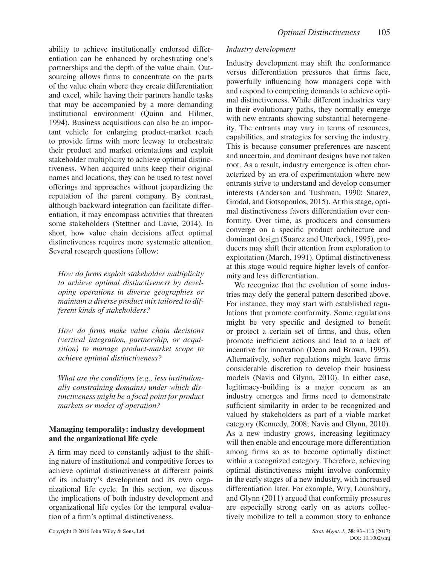ability to achieve institutionally endorsed differentiation can be enhanced by orchestrating one's partnerships and the depth of the value chain. Outsourcing allows firms to concentrate on the parts of the value chain where they create differentiation and excel, while having their partners handle tasks that may be accompanied by a more demanding institutional environment (Quinn and Hilmer, 1994). Business acquisitions can also be an important vehicle for enlarging product-market reach to provide firms with more leeway to orchestrate their product and market orientations and exploit stakeholder multiplicity to achieve optimal distinctiveness. When acquired units keep their original names and locations, they can be used to test novel offerings and approaches without jeopardizing the reputation of the parent company. By contrast, although backward integration can facilitate differentiation, it may encompass activities that threaten some stakeholders (Stettner and Lavie, 2014). In short, how value chain decisions affect optimal distinctiveness requires more systematic attention. Several research questions follow:

*How do firms exploit stakeholder multiplicity to achieve optimal distinctiveness by developing operations in diverse geographies or maintain a diverse product mix tailored to different kinds of stakeholders?*

*How do firms make value chain decisions (vertical integration, partnership, or acquisition) to manage product-market scope to achieve optimal distinctiveness?*

*What are the conditions (e.g., less institutionally constraining domains) under which distinctiveness might be a focal point for product markets or modes of operation?*

#### **Managing temporality: industry development and the organizational life cycle**

A firm may need to constantly adjust to the shifting nature of institutional and competitive forces to achieve optimal distinctiveness at different points of its industry's development and its own organizational life cycle. In this section, we discuss the implications of both industry development and organizational life cycles for the temporal evaluation of a firm's optimal distinctiveness.

## *Industry development*

Industry development may shift the conformance versus differentiation pressures that firms face, powerfully influencing how managers cope with and respond to competing demands to achieve optimal distinctiveness. While different industries vary in their evolutionary paths, they normally emerge with new entrants showing substantial heterogeneity. The entrants may vary in terms of resources, capabilities, and strategies for serving the industry. This is because consumer preferences are nascent and uncertain, and dominant designs have not taken root. As a result, industry emergence is often characterized by an era of experimentation where new entrants strive to understand and develop consumer interests (Anderson and Tushman, 1990; Suarez, Grodal, and Gotsopoulos, 2015). At this stage, optimal distinctiveness favors differentiation over conformity. Over time, as producers and consumers converge on a specific product architecture and dominant design (Suarez and Utterback, 1995), producers may shift their attention from exploration to exploitation (March, 1991). Optimal distinctiveness at this stage would require higher levels of conformity and less differentiation.

We recognize that the evolution of some industries may defy the general pattern described above. For instance, they may start with established regulations that promote conformity. Some regulations might be very specific and designed to benefit or protect a certain set of firms, and thus, often promote inefficient actions and lead to a lack of incentive for innovation (Dean and Brown, 1995). Alternatively, softer regulations might leave firms considerable discretion to develop their business models (Navis and Glynn, 2010). In either case, legitimacy-building is a major concern as an industry emerges and firms need to demonstrate sufficient similarity in order to be recognized and valued by stakeholders as part of a viable market category (Kennedy, 2008; Navis and Glynn, 2010). As a new industry grows, increasing legitimacy will then enable and encourage more differentiation among firms so as to become optimally distinct within a recognized category. Therefore, achieving optimal distinctiveness might involve conformity in the early stages of a new industry, with increased differentiation later. For example, Wry, Lounsbury, and Glynn (2011) argued that conformity pressures are especially strong early on as actors collectively mobilize to tell a common story to enhance

Copyright © 2016 John Wiley & Sons, Ltd. *Strat. Mgmt. J.*, **38**: 93–113 (2017)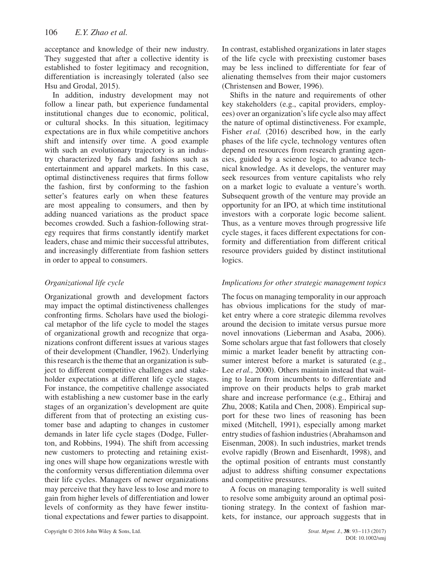acceptance and knowledge of their new industry. They suggested that after a collective identity is established to foster legitimacy and recognition, differentiation is increasingly tolerated (also see Hsu and Grodal, 2015).

In addition, industry development may not follow a linear path, but experience fundamental institutional changes due to economic, political, or cultural shocks. In this situation, legitimacy expectations are in flux while competitive anchors shift and intensify over time. A good example with such an evolutionary trajectory is an industry characterized by fads and fashions such as entertainment and apparel markets. In this case, optimal distinctiveness requires that firms follow the fashion, first by conforming to the fashion setter's features early on when these features are most appealing to consumers, and then by adding nuanced variations as the product space becomes crowded. Such a fashion-following strategy requires that firms constantly identify market leaders, chase and mimic their successful attributes, and increasingly differentiate from fashion setters in order to appeal to consumers.

## *Organizational life cycle*

Organizational growth and development factors may impact the optimal distinctiveness challenges confronting firms. Scholars have used the biological metaphor of the life cycle to model the stages of organizational growth and recognize that organizations confront different issues at various stages of their development (Chandler, 1962). Underlying this research is the theme that an organization is subject to different competitive challenges and stakeholder expectations at different life cycle stages. For instance, the competitive challenge associated with establishing a new customer base in the early stages of an organization's development are quite different from that of protecting an existing customer base and adapting to changes in customer demands in later life cycle stages (Dodge, Fullerton, and Robbins, 1994). The shift from accessing new customers to protecting and retaining existing ones will shape how organizations wrestle with the conformity versus differentiation dilemma over their life cycles. Managers of newer organizations may perceive that they have less to lose and more to gain from higher levels of differentiation and lower levels of conformity as they have fewer institutional expectations and fewer parties to disappoint.

In contrast, established organizations in later stages of the life cycle with preexisting customer bases may be less inclined to differentiate for fear of alienating themselves from their major customers (Christensen and Bower, 1996).

Shifts in the nature and requirements of other key stakeholders (e.g., capital providers, employees) over an organization's life cycle also may affect the nature of optimal distinctiveness. For example, Fisher *et al.* (2016) described how, in the early phases of the life cycle, technology ventures often depend on resources from research granting agencies, guided by a science logic, to advance technical knowledge. As it develops, the venturer may seek resources from venture capitalists who rely on a market logic to evaluate a venture's worth. Subsequent growth of the venture may provide an opportunity for an IPO, at which time institutional investors with a corporate logic become salient. Thus, as a venture moves through progressive life cycle stages, it faces different expectations for conformity and differentiation from different critical resource providers guided by distinct institutional logics.

## *Implications for other strategic management topics*

The focus on managing temporality in our approach has obvious implications for the study of market entry where a core strategic dilemma revolves around the decision to imitate versus pursue more novel innovations (Lieberman and Asaba, 2006). Some scholars argue that fast followers that closely mimic a market leader benefit by attracting consumer interest before a market is saturated (e.g., Lee *et al.*, 2000). Others maintain instead that waiting to learn from incumbents to differentiate and improve on their products helps to grab market share and increase performance (e.g., Ethiraj and Zhu, 2008; Katila and Chen, 2008). Empirical support for these two lines of reasoning has been mixed (Mitchell, 1991), especially among market entry studies of fashion industries (Abrahamson and Eisenman, 2008). In such industries, market trends evolve rapidly (Brown and Eisenhardt, 1998), and the optimal position of entrants must constantly adjust to address shifting consumer expectations and competitive pressures.

A focus on managing temporality is well suited to resolve some ambiguity around an optimal positioning strategy. In the context of fashion markets, for instance, our approach suggests that in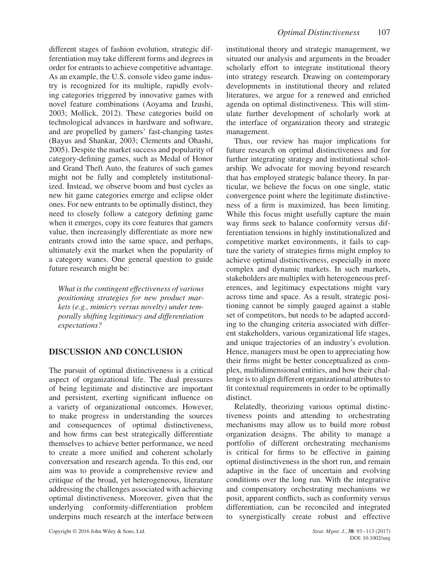different stages of fashion evolution, strategic differentiation may take different forms and degrees in order for entrants to achieve competitive advantage. As an example, the U.S. console video game industry is recognized for its multiple, rapidly evolving categories triggered by innovative games with novel feature combinations (Aoyama and Izushi, 2003; Mollick, 2012). These categories build on technological advances in hardware and software, and are propelled by gamers' fast-changing tastes (Bayus and Shankar, 2003; Clements and Ohashi, 2005). Despite the market success and popularity of category-defining games, such as Medal of Honor and Grand Theft Auto, the features of such games might not be fully and completely institutionalized. Instead, we observe boom and bust cycles as new hit game categories emerge and eclipse older ones. For new entrants to be optimally distinct, they need to closely follow a category defining game when it emerges, copy its core features that gamers value, then increasingly differentiate as more new entrants crowd into the same space, and perhaps, ultimately exit the market when the popularity of a category wanes. One general question to guide future research might be:

*What is the contingent effectiveness of various positioning strategies for new product markets (e.g., mimicry versus novelty) under temporally shifting legitimacy and differentiation expectations?*

# **DISCUSSION AND CONCLUSION**

The pursuit of optimal distinctiveness is a critical aspect of organizational life. The dual pressures of being legitimate and distinctive are important and persistent, exerting significant influence on a variety of organizational outcomes. However, to make progress in understanding the sources and consequences of optimal distinctiveness, and how firms can best strategically differentiate themselves to achieve better performance, we need to create a more unified and coherent scholarly conversation and research agenda. To this end, our aim was to provide a comprehensive review and critique of the broad, yet heterogeneous, literature addressing the challenges associated with achieving optimal distinctiveness. Moreover, given that the underlying conformity-differentiation problem underpins much research at the interface between institutional theory and strategic management, we situated our analysis and arguments in the broader scholarly effort to integrate institutional theory into strategy research. Drawing on contemporary developments in institutional theory and related literatures, we argue for a renewed and enriched agenda on optimal distinctiveness. This will stimulate further development of scholarly work at the interface of organization theory and strategic management.

Thus, our review has major implications for future research on optimal distinctiveness and for further integrating strategy and institutional scholarship. We advocate for moving beyond research that has employed strategic balance theory. In particular, we believe the focus on one single, static convergence point where the legitimate distinctiveness of a firm is maximized, has been limiting. While this focus might usefully capture the main way firms seek to balance conformity versus differentiation tensions in highly institutionalized and competitive market environments, it fails to capture the variety of strategies firms might employ to achieve optimal distinctiveness, especially in more complex and dynamic markets. In such markets, stakeholders are multiplex with heterogeneous preferences, and legitimacy expectations might vary across time and space. As a result, strategic positioning cannot be simply gauged against a stable set of competitors, but needs to be adapted according to the changing criteria associated with different stakeholders, various organizational life stages, and unique trajectories of an industry's evolution. Hence, managers must be open to appreciating how their firms might be better conceptualized as complex, multidimensional entities, and how their challenge is to align different organizational attributes to fit contextual requirements in order to be optimally distinct.

Relatedly, theorizing various optimal distinctiveness points and attending to orchestrating mechanisms may allow us to build more robust organization designs. The ability to manage a portfolio of different orchestrating mechanisms is critical for firms to be effective in gaining optimal distinctiveness in the short run, and remain adaptive in the face of uncertain and evolving conditions over the long run. With the integrative and compensatory orchestrating mechanisms we posit, apparent conflicts, such as conformity versus differentiation, can be reconciled and integrated to synergistically create robust and effective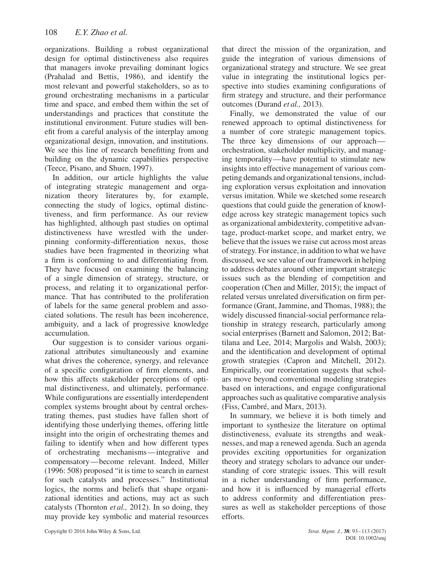organizations. Building a robust organizational design for optimal distinctiveness also requires that managers invoke prevailing dominant logics (Prahalad and Bettis, 1986), and identify the most relevant and powerful stakeholders, so as to ground orchestrating mechanisms in a particular time and space, and embed them within the set of understandings and practices that constitute the institutional environment. Future studies will benefit from a careful analysis of the interplay among organizational design, innovation, and institutions. We see this line of research benefitting from and building on the dynamic capabilities perspective (Teece, Pisano, and Shuen, 1997).

In addition, our article highlights the value of integrating strategic management and organization theory literatures by, for example, connecting the study of logics, optimal distinctiveness, and firm performance. As our review has highlighted, although past studies on optimal distinctiveness have wrestled with the underpinning conformity-differentiation nexus, those studies have been fragmented in theorizing what a firm is conforming to and differentiating from. They have focused on examining the balancing of a single dimension of strategy, structure, or process, and relating it to organizational performance. That has contributed to the proliferation of labels for the same general problem and associated solutions. The result has been incoherence, ambiguity, and a lack of progressive knowledge accumulation.

Our suggestion is to consider various organizational attributes simultaneously and examine what drives the coherence, synergy, and relevance of a specific configuration of firm elements, and how this affects stakeholder perceptions of optimal distinctiveness, and ultimately, performance. While configurations are essentially interdependent complex systems brought about by central orchestrating themes, past studies have fallen short of identifying those underlying themes, offering little insight into the origin of orchestrating themes and failing to identify when and how different types of orchestrating mechanisms—integrative and compensatory—become relevant. Indeed, Miller (1996: 508) proposed "it is time to search in earnest for such catalysts and processes." Institutional logics, the norms and beliefs that shape organizational identities and actions, may act as such catalysts (Thornton *et al.,* 2012). In so doing, they may provide key symbolic and material resources that direct the mission of the organization, and guide the integration of various dimensions of organizational strategy and structure. We see great value in integrating the institutional logics perspective into studies examining configurations of firm strategy and structure, and their performance outcomes (Durand *et al.,* 2013).

Finally, we demonstrated the value of our renewed approach to optimal distinctiveness for a number of core strategic management topics. The three key dimensions of our approach orchestration, stakeholder multiplicity, and managing temporality—have potential to stimulate new insights into effective management of various competing demands and organizational tensions, including exploration versus exploitation and innovation versus imitation. While we sketched some research questions that could guide the generation of knowledge across key strategic management topics such as organizational ambidexterity, competitive advantage, product-market scope, and market entry, we believe that the issues we raise cut across most areas of strategy. For instance, in addition to what we have discussed, we see value of our framework in helping to address debates around other important strategic issues such as the blending of competition and cooperation (Chen and Miller, 2015); the impact of related versus unrelated diversification on firm performance (Grant, Jammine, and Thomas, 1988); the widely discussed financial-social performance relationship in strategy research, particularly among social enterprises (Barnett and Salomon, 2012; Battilana and Lee, 2014; Margolis and Walsh, 2003); and the identification and development of optimal growth strategies (Capron and Mitchell, 2012). Empirically, our reorientation suggests that scholars move beyond conventional modeling strategies based on interactions, and engage configurational approaches such as qualitative comparative analysis (Fiss, Cambré, and Marx, 2013).

In summary, we believe it is both timely and important to synthesize the literature on optimal distinctiveness, evaluate its strengths and weaknesses, and map a renewed agenda. Such an agenda provides exciting opportunities for organization theory and strategy scholars to advance our understanding of core strategic issues. This will result in a richer understanding of firm performance, and how it is influenced by managerial efforts to address conformity and differentiation pressures as well as stakeholder perceptions of those efforts.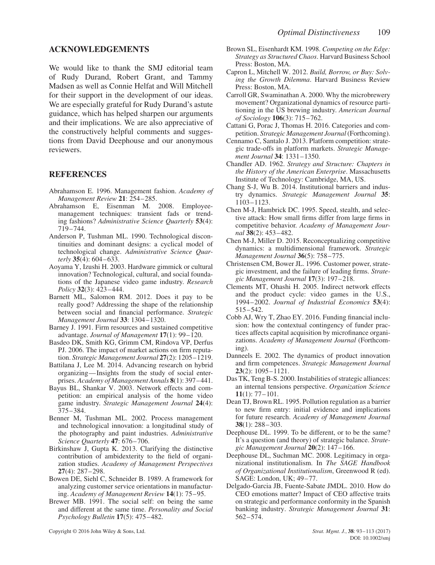#### **ACKNOWLEDGEMENTS**

We would like to thank the SMJ editorial team of Rudy Durand, Robert Grant, and Tammy Madsen as well as Connie Helfat and Will Mitchell for their support in the development of our ideas. We are especially grateful for Rudy Durand's astute guidance, which has helped sharpen our arguments and their implications. We are also appreciative of the constructively helpful comments and suggestions from David Deephouse and our anonymous reviewers.

#### **REFERENCES**

- Abrahamson E. 1996. Management fashion. *Academy of Management Review* **21**: 254–285.
- Abrahamson E, Eisenman M. 2008. Employeemanagement techniques: transient fads or trending fashions? *Administrative Science Quarterly* **53**(4): 719–744.
- Anderson P, Tushman ML. 1990. Technological discontinuities and dominant designs: a cyclical model of technological change. *Administrative Science Quarterly* **35**(4): 604–633.
- Aoyama Y, Izushi H. 2003. Hardware gimmick or cultural innovation? Technological, cultural, and social foundations of the Japanese video game industry. *Research Policy* **32**(3): 423–444.
- Barnett ML, Salomon RM. 2012. Does it pay to be really good? Addressing the shape of the relationship between social and financial performance. *Strategic Management Journal* **33**: 1304–1320.
- Barney J. 1991. Firm resources and sustained competitive advantage. *Journal of Management* **17**(1): 99–120.
- Basdeo DK, Smith KG, Grimm CM, Rindova VP, Derfus PJ. 2006. The impact of market actions on firm reputation. *Strategic Management Journal* **27**(2): 1205–1219.
- Battilana J, Lee M. 2014. Advancing research on hybrid organizing—Insights from the study of social enterprises. *Academy of Management Annals* **8**(1): 397–441.
- Bayus BL, Shankar V. 2003. Network effects and competition: an empirical analysis of the home video game industry. *Strategic Management Journal* **24**(4): 375–384.
- Benner M, Tushman ML. 2002. Process management and technological innovation: a longitudinal study of the photography and paint industries. *Administrative Science Quarterly* **47**: 676–706.
- Birkinshaw J, Gupta K. 2013. Clarifying the distinctive contribution of ambidexterity to the field of organization studies. *Academy of Management Perspectives* **27**(4): 287–298.
- Bowen DE, Siehl C, Schneider B. 1989. A framework for analyzing customer service orientations in manufacturing. *Academy of Management Review* **14**(1): 75–95.
- Brewer MB. 1991. The social self: on being the same and different at the same time. *Personality and Social Psychology Bulletin* **17**(5): 475–482.

Copyright © 2016 John Wiley & Sons, Ltd. *Strat. Mgmt. J.*, **38**: 93–113 (2017)

- Brown SL, Eisenhardt KM. 1998. *Competing on the Edge: Strategy as Structured Chaos*. Harvard Business School Press: Boston, MA.
- Capron L, Mitchell W. 2012. *Build, Borrow, or Buy: Solving the Growth Dilemma*. Harvard Business Review Press: Boston, MA.
- Carroll GR, Swaminathan A. 2000. Why the microbrewery movement? Organizational dynamics of resource partitioning in the US brewing industry. *American Journal of Sociology* **106**(3): 715–762.
- Cattani G, Porac J, Thomas H. 2016. Categories and competition. *Strategic Management Journal* (Forthcoming).
- Cennamo C, Santalo J. 2013. Platform competition: strategic trade-offs in platform markets. *Strategic Management Journal* **34**: 1331–1350.
- Chandler AD. 1962. *Strategy and Structure: Chapters in the History of the American Enterprise*. Massachusetts Institute of Technology: Cambridge, MA, US.
- Chang S-J, Wu B. 2014. Institutional barriers and industry dynamics. *Strategic Management Journal* **35**: 1103–1123.
- Chen M-J, Hambrick DC. 1995. Speed, stealth, and selective attack: How small firms differ from large firms in competitive behavior. *Academy of Management Journal* **38**(2): 453–482.
- Chen M-J, Miller D. 2015. Reconceptualizing competitive dynamics: a multidimensional framework. *Strategic Management Journal* **36**(5): 758–775.
- Christensen CM, Bower JL. 1996. Customer power, strategic investment, and the failure of leading firms. *Strategic Management Journal* **17**(3): 197–218.
- Clements MT, Ohashi H. 2005. Indirect network effects and the product cycle: video games in the U.S., 1994–2002. *Journal of Industrial Economics* **53**(4): 515–542.
- Cobb AJ, Wry T, Zhao EY. 2016. Funding financial inclusion: how the contextual contingency of funder practices affects capital acquisition by microfinance organizations. *Academy of Management Journal* (Forthcoming).
- Danneels E. 2002. The dynamics of product innovation and firm competences. *Strategic Management Journal* **23**(2): 1095–1121.
- Das TK, Teng B-S. 2000. Instabilities of strategic alliances: an internal tensions perspective. *Organization Science* **11**(1): 77–101.
- Dean TJ, Brown RL. 1995. Pollution regulation as a barrier to new firm entry: initial evidence and implications for future research. *Academy of Management Journal* **38**(1): 288–303.
- Deephouse DL. 1999. To be different, or to be the same? It's a question (and theory) of strategic balance. *Strategic Management Journal* **20**(2): 147–166.
- Deephouse DL, Suchman MC. 2008. Legitimacy in organizational institutionalism. In *The SAGE Handbook of Organizational Institutionalism*, Greenwood R (ed). SAGE: London, UK; 49–77.
- Delgado-Garcia JB, Fuente-Sabate JMDL. 2010. How do CEO emotions matter? Impact of CEO affective traits on strategic and performance conformity in the Spanish banking industry. *Strategic Management Journal* **31**: 562–574.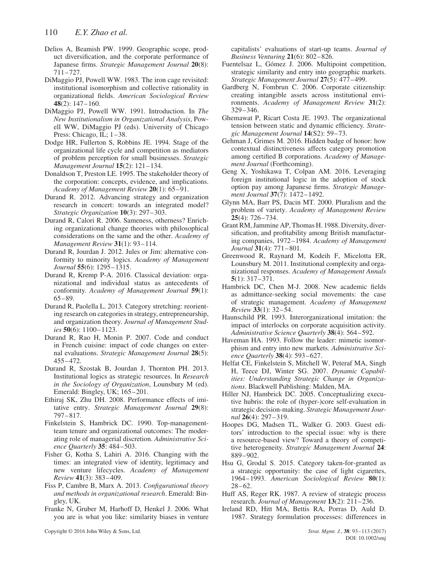- Delios A, Beamish PW. 1999. Geographic scope, product diversification, and the corporate performance of Japanese firms. *Strategic Management Journal* **20**(8): 711–727.
- DiMaggio PJ, Powell WW. 1983. The iron cage revisited: institutional isomorphism and collective rationality in organizational fields. *American Sociological Review* **48**(2): 147–160.
- DiMaggio PJ, Powell WW. 1991. Introduction. In *The New Institutionalism in Organizational Analysis*, Powell WW, DiMaggio PJ (eds). University of Chicago Press: Chicago, IL;  $1-38$ .
- Dodge HR, Fullerton S, Robbins JE. 1994. Stage of the organizational life cycle and competition as mediators of problem perception for small businesses. *Strategic Management Journal* **15**(2): 121–134.
- Donaldson T, Preston LE. 1995. The stakeholder theory of the corporation: concepts, evidence, and implications. *Academy of Management Review* **20**(1): 65–91.
- Durand R. 2012. Advancing strategy and organization research in concert: towards an integrated model? *Strategic Organization* **10**(3): 297–303.
- Durand R, Calori R. 2006. Sameness, otherness? Enriching organizational change theories with philosophical considerations on the same and the other. *Academy of Management Review* **31**(1): 93–114.
- Durand R, Jourdan J. 2012. Jules or Jim: alternative conformity to minority logics. *Academy of Management Journal* **55**(6): 1295–1315.
- Durand R, Kremp P-A. 2016. Classical deviation: organizational and individual status as antecedents of conformity. *Academy of Management Journal* **59**(1): 65–89.
- Durand R, Paolella L. 2013. Category stretching: reorienting research on categories in strategy, entrepreneurship, and organization theory. *Journal of Management Studies* **50**(6): 1100–1123.
- Durand R, Rao H, Monin P. 2007. Code and conduct in French cuisine: impact of code changes on external evaluations. *Strategic Management Journal* **28**(5): 455–472.
- Durand R, Szostak B, Jourdan J, Thornton PH. 2013. Institutional logics as strategic resources. In *Research in the Sociology of Organization*, Lounsbury M (ed). Emerald: Bingley, UK; 165–201.
- Ethiraj SK, Zhu DH. 2008. Performance effects of imitative entry. *Strategic Management Journal* **29**(8): 797–817.
- Finkelstein S, Hambrick DC. 1990. Top-managementteam tenure and organizational outcomes: The moderating role of managerial discretion. *Administrative Science Quarterly* **35**: 484–503.
- Fisher G, Kotha S, Lahiri A. 2016. Changing with the times: an integrated view of identity, legitimacy and new venture lifecycles. *Academy of Management Review* **41**(3): 383–409.
- Fiss P, Cambre B, Marx A. 2013. *Configurational theory and methods in organizational research*. Emerald: Bingley, UK.
- Franke N, Gruber M, Harhoff D, Henkel J. 2006. What you are is what you like: similarity biases in venture

capitalists' evaluations of start-up teams. *Journal of Business Venturing* **21**(6): 802–826.

- Fuentelsaz L, Gómez J. 2006. Multipoint competition, strategic similarity and entry into geographic markets. *Strategic Management Journal* **27**(5): 477–499.
- Gardberg N, Fombrun C. 2006. Corporate citizenship: creating intangible assets across institutional environments. *Academy of Management Review* **31**(2): 329–346.
- Ghemawat P, Ricart Costa JE. 1993. The organizational tension between static and dynamic efficiency. *Strategic Management Journal* **14**(S2): 59–73.
- Gehman J, Grimes M. 2016. Hidden badge of honor: how contextual distinctiveness affects category promotion among certified B corporations. *Academy of Management Journal* (Forthcoming).
- Geng X, Yoshikawa T, Colpan AM. 2016. Leveraging foreign institutional logic in the adoption of stock option pay among Japanese firms. *Strategic Management Journal* **37**(7): 1472–1492.
- Glynn MA, Barr PS, Dacin MT. 2000. Pluralism and the problem of variety. *Academy of Management Review* **25**(4): 726–734.
- Grant RM, Jammine AP, Thomas H. 1988. Diversity, diversification, and profitability among British manufacturing companies, 1972–1984. *Academy of Management Journal* **31**(4): 771–801.
- Greenwood R, Raynard M, Kodeih F, Micelotta ER, Lounsbury M. 2011. Institutional complexity and organizational responses. *Academy of Management Annals* **5**(1): 317–371.
- Hambrick DC, Chen M-J. 2008. New academic fields as admittance-seeking social movements: the case of strategic management. *Academy of Management Review* **33**(1): 32–54.
- Haunschild PR. 1993. Interorganizational imitation: the impact of interlocks on corporate acquisition activity. *Administrative Science Quarterly* **38**(4): 564–592.
- Haveman HA. 1993. Follow the leader: mimetic isomorphism and entry into new markets. *Administrative Science Quarterly* **38**(4): 593–627.
- Helfat CE, Finkelstein S, Mitchell W, Peteraf MA, Singh H, Teece DJ, Winter SG. 2007. *Dynamic Capabilities: Understanding Strategic Change in Organizations*. Blackwell Publishing: Malden, MA.
- Hiller NJ, Hambrick DC. 2005. Conceptualizing executive hubris: the role of (hyper-)core self-evaluation in strategic decision-making. *Strategic Management Journal* **26**(4): 297–319.
- Hoopes DG, Madsen TL, Walker G. 2003. Guest editors' introduction to the special issue: why is there a resource-based view? Toward a theory of competitive heterogeneity. *Strategic Management Journal* **24**: 889–902.
- Hsu G, Grodal S. 2015. Category taken-for-granted as a strategic opportunity: the case of light cigarettes, 1964–1993. *American Sociological Review* **80**(1): 28–62.
- Huff AS, Reger RK. 1987. A review of strategic process research. *Journal of Management* **13**(2): 211–236.
- Ireland RD, Hitt MA, Bettis RA, Porras D, Auld D. 1987. Strategy formulation processes: differences in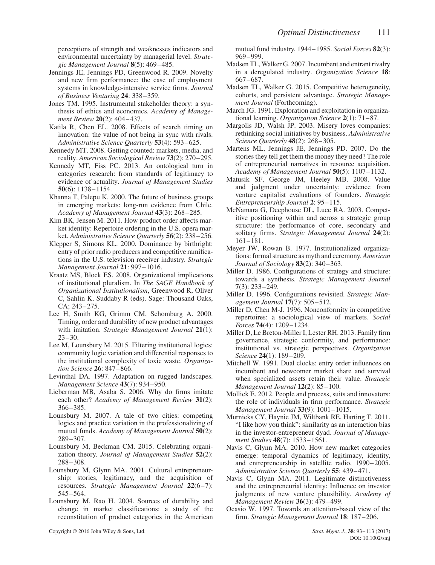perceptions of strength and weaknesses indicators and environmental uncertainty by managerial level. *Strategic Management Journal* **8**(5): 469–485.

- Jennings JE, Jennings PD, Greenwood R. 2009. Novelty and new firm performance: the case of employment systems in knowledge-intensive service firms. *Journal of Business Venturing* **24**: 338–359.
- Jones TM. 1995. Instrumental stakeholder theory: a synthesis of ethics and economics. *Academy of Management Review* **20**(2): 404–437.
- Katila R, Chen EL. 2008. Effects of search timing on innovation: the value of not being in sync with rivals. *Administrative Science Quarterly* **53**(4): 593–625.
- Kennedy MT. 2008. Getting counted: markets, media, and reality. *American Sociological Review* **73**(2): 270–295.
- Kennedy MT, Fiss PC. 2013. An ontological turn in categories research: from standards of legitimacy to evidence of actuality. *Journal of Management Studies* **50**(6): 1138–1154.
- Khanna T, Palepu K. 2000. The future of business groups in emerging markets: long-run evidence from Chile. *Academy of Management Journal* **43**(3): 268–285.
- Kim BK, Jensen M. 2011. How product order affects market identity: Repertoire ordering in the U.S. opera market. *Administrative Science Quarterly* **56**(2): 238–256.
- Klepper S, Simons KL. 2000. Dominance by birthright: entry of prior radio producers and competitive ramifications in the U.S. television receiver industry. *Strategic Management Journal* **21**: 997–1016.
- Kraatz MS, Block ES. 2008. Organizational implications of institutional pluralism. In *The SAGE Handbook of Organizational Institutionalism*, Greenwood R, Oliver C, Sahlin K, Suddaby R (eds). Sage: Thousand Oaks, CA; 243–275.
- Lee H, Smith KG, Grimm CM, Schomburg A. 2000. Timing, order and durability of new product advantages with imitation. *Strategic Management Journal* **21**(1):  $23 - 30.$
- Lee M, Lounsbury M. 2015. Filtering institutional logics: community logic variation and differential responses to the institutional complexity of toxic waste. *Organization Science* **26**: 847–866.
- Levinthal DA. 1997. Adaptation on rugged landscapes. *Management Science* **43**(7): 934–950.
- Lieberman MB, Asaba S. 2006. Why do firms imitate each other? *Academy of Management Review* **31**(2): 366–385.
- Lounsbury M. 2007. A tale of two cities: competing logics and practice variation in the professionalizing of mutual funds. *Academy of Management Journal* **50**(2): 289–307.
- Lounsbury M, Beckman CM. 2015. Celebrating organization theory. *Journal of Management Studies* **52**(2): 288–308.
- Lounsbury M, Glynn MA. 2001. Cultural entrepreneurship: stories, legitimacy, and the acquisition of resources. *Strategic Management Journal* **22**(6–7): 545–564.
- Lounsbury M, Rao H. 2004. Sources of durability and change in market classifications: a study of the reconstitution of product categories in the American

Copyright © 2016 John Wiley & Sons, Ltd. *Strat. Mgmt. J.*, **38**: 93–113 (2017)

mutual fund industry, 1944–1985. *Social Forces* **82**(3): 969–999.

- Madsen TL, Walker G. 2007. Incumbent and entrant rivalry in a deregulated industry. *Organization Science* **18**: 667–687.
- Madsen TL, Walker G. 2015. Competitive heterogeneity, cohorts, and persistent advantage. *Strategic Management Journal* (Forthcoming).
- March JG. 1991. Exploration and exploitation in organizational learning. *Organization Science* **2**(1): 71–87.
- Margolis JD, Walsh JP. 2003. Misery loves companies: rethinking social initiatives by business. *Administrative Science Quarterly* **48**(2): 268–305.
- Martens ML, Jennings JE, Jennings PD. 2007. Do the stories they tell get them the money they need? The role of entrepreneurial narratives in resource acquisition. *Academy of Management Journal* **50**(5): 1107–1132.
- Matusik SF, George JM, Heeley MB. 2008. Value and judgment under uncertainty: evidence from venture capitalist evaluations of founders. *Strategic Entrepreneurship Journal* **2**: 95–115.
- McNamara G, Deephouse DL, Luce RA. 2003. Competitive positioning within and across a strategic group structure: the performance of core, secondary and solitary firms. *Strategic Management Journal* **24**(2): 161–181.
- Meyer JW, Rowan B. 1977. Institutionalized organizations: formal structure as myth and ceremony. *American Journal of Sociology* **83**(2): 340–363.
- Miller D. 1986. Configurations of strategy and structure: towards a synthesis. *Strategic Management Journal* **7**(3): 233–249.
- Miller D. 1996. Configurations revisited. *Strategic Management Journal* **17**(7): 505–512.
- Miller D, Chen M-J. 1996. Nonconformity in competitive repertoires: a sociological view of markets. *Social Forces* **74**(4): 1209–1234.
- Miller D, Le Breton-Miller I, Lester RH. 2013. Family firm governance, strategic conformity, and performance: institutional vs. strategic perspectives. *Organization Science* **24**(1): 189–209.
- Mitchell W. 1991. Dual clocks: entry order influences on incumbent and newcomer market share and survival when specialized assets retain their value. *Strategic Management Journal* **12**(2): 85–100.
- Mollick E. 2012. People and process, suits and innovators: the role of individuals in firm performance. *Strategic Management Journal* **33**(9): 1001–1015.
- Murnieks CY, Haynie JM, Wiltbank RE, Harting T. 2011. "I like how you think": similarity as an interaction bias in the investor-entrepreneur dyad. *Journal of Management Studies* **48**(7): 1533–1561.
- Navis C, Glynn MA. 2010. How new market categories emerge: temporal dynamics of legitimacy, identity, and entrepreneurship in satellite radio, 1990–2005. *Administrative Science Quarterly* **55**: 439–471.
- Navis C, Glynn MA. 2011. Legitimate distinctiveness and the entrepreneurial identity: Influence on investor judgments of new venture plausibility. *Academy of Management Review* **36**(3): 479–499.
- Ocasio W. 1997. Towards an attention-based view of the firm. *Strategic Management Journal* **18**: 187–206.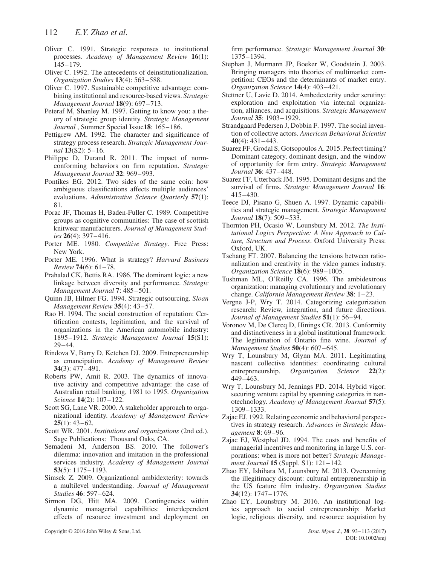- Oliver C. 1991. Strategic responses to institutional processes. *Academy of Management Review* **16**(1): 145–179.
- Oliver C. 1992. The antecedents of deinstitutionalization. *Organization Studies* **13**(4): 563–588.
- Oliver C. 1997. Sustainable competitive advantage: combining institutional and resource-based views. *Strategic Management Journal* **18**(9): 697–713.
- Peteraf M, Shanley M. 1997. Getting to know you: a theory of strategic group identity. *Strategic Management Journal* , Summer Special Issue**18**: 165–186.
- Pettigrew AM. 1992. The character and significance of strategy process research. *Strategic Management Journal* **13**(S2): 5–16.
- Philippe D, Durand R. 2011. The impact of normconforming behaviors on firm reputation. *Strategic Management Journal* **32**: 969–993.
- Pontikes EG. 2012. Two sides of the same coin: how ambiguous classifications affects multiple audiences' evaluations. *Administrative Science Quarterly* **57**(1): 81.
- Porac JF, Thomas H, Baden-Fuller C. 1989. Competitive groups as cognitive communities: The case of scottish knitwear manufacturers. *Journal of Management Studies* **26**(4): 397–416.
- Porter ME. 1980. *Competitive Strategy*. Free Press: New York.
- Porter ME. 1996. What is strategy? *Harvard Business Review* **74**(6): 61–78.
- Prahalad CK, Bettis RA. 1986. The dominant logic: a new linkage between diversity and performance. *Strategic Management Journal* **7**: 485–501.
- Quinn JB, Hilmer FG. 1994. Strategic outsourcing. *Sloan Management Review* **35**(4): 43–57.
- Rao H. 1994. The social construction of reputation: Certification contests, legitimation, and the survival of organizations in the American automobile industry: 1895–1912. *Strategic Management Journal* **15**(S1): 29–44.
- Rindova V, Barry D, Ketchen DJ. 2009. Entrepreneurship as emancipation. *Academy of Management Review* **34**(3): 477–491.
- Roberts PW, Amit R. 2003. The dynamics of innovative activity and competitive advantage: the case of Australian retail banking, 1981 to 1995. *Organization Science* **14**(2): 107–122.
- Scott SG, Lane VR. 2000. A stakeholder approach to organizational identity. *Academy of Management Review* **25**(1): 43–62.
- Scott WR. 2001. *Institutions and organizations* (2nd ed.). Sage Publications: Thousand Oaks, CA.
- Semadeni M, Anderson BS. 2010. The follower's dilemma: innovation and imitation in the professional services industry. *Academy of Management Journal* **53**(5): 1175–1193.
- Simsek Z. 2009. Organizational ambidexterity: towards a multilevel understanding. *Journal of Management Studies* **46**: 597–624.
- Sirmon DG, Hitt MA. 2009. Contingencies within dynamic managerial capabilities: interdependent effects of resource investment and deployment on

firm performance. *Strategic Management Journal* **30**: 1375–1394.

- Stephan J, Murmann JP, Boeker W, Goodstein J. 2003. Bringing managers into theories of multimarket competition: CEOs and the determinants of market entry. *Organization Science* **14**(4): 403–421.
- Stettner U, Lavie D. 2014. Ambedexterity under scrutiny: exploration and exploitation via internal organization, alliances, and acquisitions. *Strategic Management Journal* **35**: 1903–1929.
- Strandgaard Pedersen J, Dobbin F. 1997. The social invention of collective actors. *American Behavioral Scientist* **40**(4): 431–443.
- Suarez FF, Grodal S, Gotsopoulos A. 2015. Perfect timing? Dominant category, dominant design, and the window of opportunity for firm entry. *Strategic Management Journal* **36**: 437–448.
- Suarez FF, Utterback JM. 1995. Dominant designs and the survival of firms. *Strategic Management Journal* **16**: 415–430.
- Teece DJ, Pisano G, Shuen A. 1997. Dynamic capabilities and strategic management. *Strategic Management Journal* **18**(7): 509–533.
- Thornton PH, Ocasio W, Lounsbury M. 2012. *The Institutional Logics Perspective: A New Approach to Culture, Structure and Process*. Oxford University Press: Oxford, UK.
- Tschang FT. 2007. Balancing the tensions between rationalization and creativity in the video games industry. *Organization Science* **18**(6): 989–1005.
- Tushman ML, O'Reilly CA. 1996. The ambidextrous organization: managing evolutionary and revolutionary change. *California Management Review* **38**: 1–23.
- Vergne J-P, Wry T. 2014. Categorizing categorization research: Review, integration, and future directions. *Journal of Management Studies* **51**(1): 56–94.
- Voronov M, De Clercq D, Hinings CR. 2013. Conformity and distinctiveness in a global institutional framework: The legitimation of Ontario fine wine. *Journal of Management Studies* **50**(4): 607–645.
- Wry T, Lounsbury M, Glynn MA. 2011. Legitimating nascent collective identities: coordinating cultural entrepreneurship. *Organization Science* **22**(2): 449–463.
- Wry T, Lounsbury M, Jennings PD. 2014. Hybrid vigor: securing venture capital by spanning categories in nanotechnology. *Academy of Management Journal* **57**(5): 1309–1333.
- Zajac EJ. 1992. Relating economic and behavioral perspectives in strategy research. *Advances in Strategic Management* **8**: 69–96.
- Zajac EJ, Westphal JD. 1994. The costs and benefits of managerial incentives and monitoring in large U.S. corporations: when is more not better? *Strategic Management Journal* **15** (Suppl. S1): 121–142.
- Zhao EY, Ishihara M, Lounsbury M. 2013. Overcoming the illegitimacy discount: cultural entrepreneurship in the US feature film industry. *Organization Studies* **34**(12): 1747–1776.
- Zhao EY, Lounsbury M. 2016. An institutional logics approach to social entrepreneurship: Market logic, religious diversity, and resource acquistion by